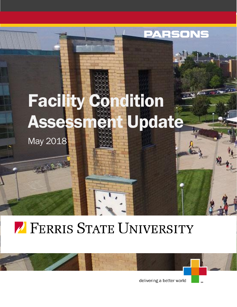

# **7 FERRIS STATE UNIVERSITY**

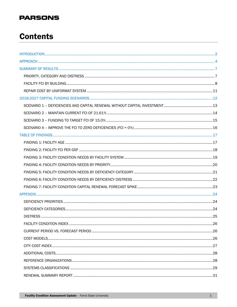# **Contents**

| .26 |
|-----|
|     |
|     |
|     |
|     |
|     |
|     |
|     |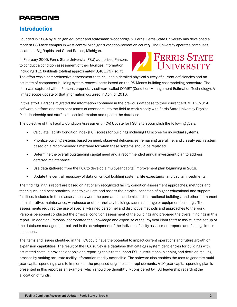### <span id="page-2-0"></span>Introduction

Founded in 1884 by Michigan educator and statesman Woodbridge N. Ferris, Ferris State University has developed a modern 880-acre campus in west central Michigan's vacation-recreation country. The University operates campuses located in Big Rapids and Grand Rapids, Michigan.

In February 2005, Ferris State University (FSU) authorized Parsons to conduct a condition assessment of their facilities information including 111 buildings totaling approximately 3,481,797 sq. ft.



The effort was a comprehensive assessment that included a detailed physical survey of current deficiencies and an estimate of component building system renewal costs based on the RS Means building cost modeling procedure. The data was captured within Parsons proprietary software called COMET (Condition Management Estimation Technology). A limited scope update of that information occurred in April of 2010.

In this effort, Parsons migrated the information contained in the previous database to their current eCOMET v\_2014 software platform and then sent teams of assessors into the field to work closely with Ferris State University Physical Plant leadership and staff to collect information and update the database.

The objective of this Facility Condition Assessment (FCA) Update for FSU is to accomplish the following goals:

- Calculate Facility Condition Index (FCI) scores for buildings including FCI scores for individual systems.
- Prioritize building systems based on need, observed deficiencies, remaining useful life, and classify each system based on a recommended timeframe for when these systems should be replaced.
- Determine the overall outstanding capital need and a recommended annual investment plan to address deferred maintenance.
- Use data gathered from the FCA to develop a multiyear capital improvement plan beginning in 2018.
- Update the central repository of data on critical building systems, life expectancy, and capital investments.

The findings in this report are based on nationally recognized facility condition assessment approaches, methods and techniques, and best practices used to evaluate and assess the physical condition of higher educational and support facilities. Included in these assessments were the permanent academic and instructional buildings, and other permanent administrative, maintenance, warehouse or other ancillary buildings such as storage or equipment buildings. The assessments required the use of specially-trained personnel and distinctive methods and approaches to the work. Parsons personnel conducted the physical condition assessment of the buildings and prepared the overall findings in this report. In addition, Parsons incorporated the knowledge and expertise of the Physical Plant Staff to assist in the set up of the database management tool and in the development of the individual facility assessment reports and findings in this document.

The items and issues identified in the FCA could have the potential to impact current operations and future growth or expansion capabilities. The result of the FCA survey is a database that catalogs system deficiencies for buildings with estimated costs. It provides analysis and reporting tools that support FSU's institutional planning and decision making process by making accurate facility information readily accessible. The software also enables the user to generate multiyear capital spending plans to implement the proposed upgrades and replacements. A 10-year capital spending plan is presented in this report as an example, which should be thoughtfully considered by FSU leadership regarding the allocation of funds.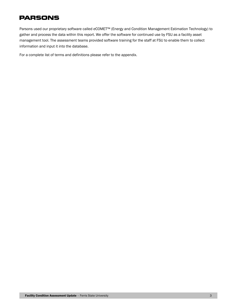Parsons used our proprietary software called *e*COMET™ (Energy and Condition Management Estimation Technology) to gather and process the data within this report. We offer the software for continued use by FSU as a facility asset management tool. The assessment teams provided software training for the staff at FSU to enable them to collect information and input it into the database.

For a complete list of terms and definitions please refer to the appendix.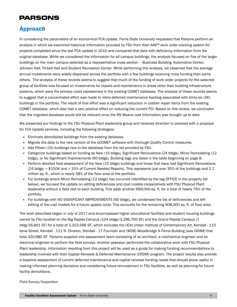### <span id="page-4-0"></span>Approach

In considering the parameters of an economical FCA Update, Ferris State University requested that Parsons perform an analysis in which we examined historical information provided by FSU from their AiM™ work order tracking system for projects completed since the last FCA update in 2010 and compared that data with deficiency information from the original database. While we considered the information for all campus buildings, the analysis focused on five of the larger buildings on the main campus selected as a representative cross section – Business Building, Automotive Center, Johnson Hall, Pickell Hall and Student Recreation Center. While performing this analysis, we observed that the average annual investments were widely dispersed across the portfolio with a few buildings receiving more funding than some others. The analysis of these records seems to suggest that much of the funding of work order projects for the selected group of facilities was focused on investments for repairs and maintenance in areas other than building infrastructure systems, which were the primary costs represented in the existing COMET database. The analysis of these records seems to suggest that a concentrated effort was made to retire deferred maintenance backlog associated with thirty-six (36) buildings in the portfolio. The result of that effort was a significant reduction in costlier repair items from the existing COMET database, which also had a very positive effect on reducing the current FCI. Based on this review, we concluded that the migrated database would still be relevant once the RS Means cost information was brought up to date.

We presented our findings to the FSU Physical Plant leadership group and received direction to proceed with a proposal for FCA Update services, including the following strategies:

- Eliminate demolished buildings from the existing database.
- Migrate the data to the new version of the eCOMET software with thorough Quality Control measures.
- Add fifteen (15) buildings new to the database from the list provided by FSU.
- Categorize buildings based on funding as New (15 bldgs), Significant Renovations (24 bldgs), Minor Remodeling (12 bldgs), or No Significant Improvements (60 bldgs). Building tags are listed in the table beginning on page 8.
- Perform detailed field assessment of the New (15 bldgs) buildings and those that have had Significant Renovations (24 bldgs; > \$150K and > 15% of Current Needed Repairs). This represents just over 35% of the buildings and 2.1 million sq. ft., which is nearly 58% of the floor area of the portfolio.
- For buildings where Minor Remodeling (12 bldgs) has occurred (identified by the tag OFFICE in the property list below), we focused the update on editing deficiencies and cost models cooperatively with FSU Physical Plant leadership without a field visit to each building. This adds another 669,000-sq. ft. for a total of nearly 76% of the portfolio.
- For buildings with NO SIGNIFICANT IMPROVEMENTS (60 bldgs), we condensed the list of deficiencies and left editing of the cost models for a future update cycle. This accounts for the remaining 908,000 sq. ft. of floor area.

The work described began in July of 2017 and encompassed higher educational facilities and student housing buildings owned by FSU located on the Big Rapids Campus (104 bldgs/3,296,765 SF) and the Grand Rapids Campus (1 bldg/26,801 SF) for a total of 3,323,566 SF, which excludes the (ICA) Urban Institute of Contemporary Art, Kendall - 110 Ionia Street, Kendall - 111 N. Division, Kendall - 17 Fountain and (WDB) Woodbridge N Ferris Building (was GRAM) that total 320,980 SF. Parsons supplied one assessment team consisting of an architect, a mechanical engineer and an electrical engineer to perform the field surveys. Another assessor performed the collaborative work with FSU Physical Plant leadership. Information resulting from this project will be used as a guide for making funding recommendations to leadership involved with their Capital Renewal & Deferred Maintenance (CRDM) program. The project results also provide a baseline assessment of current deferred maintenance and capital renewal funding needs that should prove useful in making informed planning decisions and considering future reinvestment in FSU facilities, as well as planning for future facility demolitions.

Field Survey/Inspection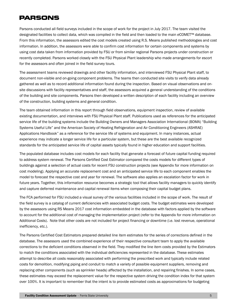Parsons conducted all field surveys included in the scope of work for the project in July 2017. The team visited the designated facilities to collect data, which was compiled in the field and then loaded to the main *e*COMET™ database. From this information, the assessors edited the cost models created using R.S. Means published methodologies and cost information. In addition, the assessors were able to confirm cost information for certain components and systems by using cost data taken from information provided by FSU or from similar regional Parsons projects under construction or recently completed. Parsons worked closely with the FSU Physical Plant leadership who made arrangements for escort for the assessors and often joined in the field survey tours.

The assessment teams reviewed drawings and other facility information, and interviewed FSU Physical Plant staff, to document non-visible and on-going component problems. The teams then conducted site visits to verify data already gathered as well as to record additional information found during the inspection. Based on visual observations and onsite discussions with facility representatives and staff, the assessors acquired a general understanding of the conditions of the building and site components. Parsons then developed a written description of each facility including an overview of the construction, building systems and general condition.

The team obtained information in this report through field observations, equipment inspection, review of available existing documentation, and interviews with FSU Physical Plant staff. Publications used as references for the anticipated service life of the building systems include the Building Owners and Managers Association International (BOMA) "Building Systems Useful Life" and the American Society of Heating Refrigeration and Air Conditioning Engineers (ASHRAE) Applications Handbook" as a reference for the service life of systems and equipment. In many instances, actual experience may indicate a longer service life for a particular system, but these are the best available recognized standards for the anticipated service life of capital assets typically found in higher education and support facilities.

The populated database includes cost models for each facility that generate a forecast of future capital funding required to address system renewal. The Parsons Certified Cost Estimator compared the costs models for different types of buildings against a selection of actual costs for recent FSU construction projects (see Appendix for more information on cost modeling). Applying an accurate replacement cost and an anticipated service life to each component enables the model to forecast the respective cost and year for renewal. The software also applies an escalation factor for work in future years. Together, this information resource becomes a strategic tool that allows facility managers to quickly identify and capture deferred maintenance and capital renewal items when composing their capital budget plans.

The FCA performed for FSU included a visual survey of the various facilities included in the scope of work. The result of the field survey is a catalog of current deficiencies with associated budget costs. The budget estimates were developed by the assessors using RS Means 2017 cost information embedded in the database with factors applied by the software to account for the additional cost of managing the implementation project (refer to the Appendix for more information on Additional Costs). Note that other costs are not included for project financing or downtime (i.e. lost revenue, operational inefficiency, etc.).

The Parsons Certified Cost Estimators prepared detailed line item estimates for the series of corrections defined in the database. The assessors used the combined experience of their respective consultant team to apply the available corrections to the deficient conditions observed in the field. They modified the line item costs provided by the Estimators to match the conditions associated with the individual deficiencies represented in the database. These estimates attempt to describe all costs reasonably associated with performing the prescribed work and typically include related costs for demolition, modifying piping and conduit to match a variety of possible equipment suppliers, removing and replacing other components (such as sprinkler heads) affected by the installation, and repairing finishes. In some cases, these estimates may exceed the replacement value for the respective system driving the condition index for that system over 100%. It is important to remember that the intent is to provide estimated costs as approximations for budgeting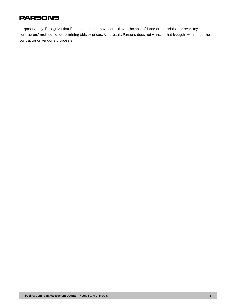purposes, only. Recognize that Parsons does not have control over the cost of labor or materials, nor over any contractors' methods of determining bids or prices. As a result, Parsons does not warrant that budgets will match the contractor or vendor's proposals.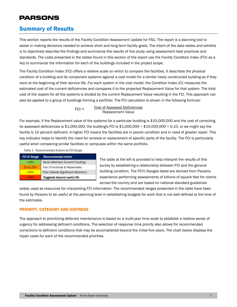### <span id="page-7-0"></span>Summary of Results

This section reports the results of the Facility Condition Assessment Update for FSU. The report is a planning tool to assist in making decisions needed to achieve short and long term facility goals. The intent of the data tables and exhibits is to objectively describe the findings and summarize the results of this study using assessment best practices and standards. The costs presented in the tables found in this section of the report use the Facility Condition Index (FCI) as a key to summarize the information for each of the buildings included in the project scope.

The Facility Condition Index (FCI) offers a relative scale on which to compare the facilities. It describes the physical condition of a building and its component systems against a cost model for a similar newly constructed building as if they were at the beginning of their service life. For each system in the cost model, the Condition Index (CI) measures the estimated cost of the current deficiencies and compares it to the projected Replacement Value for that system. The total cost of the repairs for all the systems is divided by the current Replacement Value resulting in the FCI. This approach can also be applied to a group of buildings forming a portfolio. The FCI calculation is shown in the following formula:

> Cost of Assessed Deficiencies Replacement Value  $FCI =$

For example, if the Replacement value of the systems for a particular building is \$10,000,000 and the cost of correcting its assessed deficiencies is \$1,000,000, the building's FCI is \$1,000,000  $\div$  \$10,000,000 = 0.10, or we might say the facility is 10 percent deficient. A higher FCI means the facilities are in poorer condition and in need of greater repair. This key indicator helps to identify the need for renewal or replacement of specific parts of the facility. The FCI is particularly useful when comparing similar facilities or campuses within the same portfolio.

| FCI % Range | <b>Recommended Action</b>          |
|-------------|------------------------------------|
| < 15%       | Good (Maintain Current Funding)    |
| 15 to 25%   | Fair (Functional & Repairable)     |
| >25%        | Poor (Needs Significant Attention) |
| >60%        | Suggests beyond useful life        |

Table 1 - Recommended Actions by FCI Range

The table at the left is provided to help interpret the results of this survey by establishing a relationship between FCI and the general building condition. The FCI% Ranges listed are derived from Parsons experience performing assessments of billions of square feet for clients across the country and are based on national standard guidelines

widely used as resources for interpreting FCI information. The recommended ranges presented in the table have been found by Parsons to be useful at the planning level in establishing budgets for work that is not well defined at the time of the estimates.

### <span id="page-7-1"></span>PRIORITY, CATEGORY AND DISTRESS

The approach to prioritizing deferred maintenance is based on a multi-year time scale to establish a relative sense of urgency for addressing deficient conditions. The selection of response time priority also allows for recommended corrections to deficient conditions that may be accomplished beyond the initial five years. The chart below displays the repair costs for each of the recommended priorities.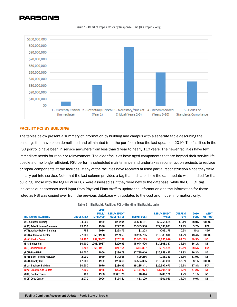

#### Figure 1 - Chart of Repair Costs by Response Time (Big Rapids, only)

### <span id="page-8-0"></span>FACILITY FCI BY BUILDING

The tables below present a summary of information by building and campus with a separate table describing the buildings that have been demolished and eliminated from the portfolio since the last update in 2010. The facilities in the FSU portfolio have been in service anywhere from less than 1 year to nearly 110 years. The newer facilities have few immediate needs for repair or reinvestment. The older facilities have aged components that are beyond their service life, obsolete or no longer efficient. FSU performs scheduled maintenance and undertakes reconstruction projects to replace or repair components at the facilities. Many of the facilities have received at least partial reconstruction since they were initially put into service. Note that the last column provides a tag that indicates how the data update was handled for that building. Those with the tag NEW or FCA were assessed as if they were new to the database, while the OFFICE tag indicates our assessors used input from Physical Plant staff to update the information and the information for those listed as NSI was copied over from the previous database with updates to the cost and model information, only.

Table 2 – Big Rapids Facilities FCI by Building (Big Rapids, only)

| <b>BIG RAPIDS FACILITIES</b>    | <b>GROSS AREA</b> | <b>YEAR</b><br><b>BUILT/</b><br><b>IMPROVED</b> | <b>REPLACEMENT</b><br><b>COST PER SF</b> | <b>REPAIR COST</b> | <b>REPLACEMENT</b><br><b>VALUE</b> | <b>CURRENT</b><br>FCI% | 2010<br>FCI% | <b>ASMT</b><br><b>METHOD</b> |
|---------------------------------|-------------------|-------------------------------------------------|------------------------------------------|--------------------|------------------------------------|------------------------|--------------|------------------------------|
| (ALU) Alumni Building           | 34.600            | 1929                                            | \$282.04                                 | \$5,668,151        | \$9,758,584                        | 58.1%                  | 38.0%        | <b>OFFICE</b>                |
| (ASC) Arts/Sciences Commons     | 79,259            | 1996                                            | \$277.96                                 | \$5,385,300        | \$22,030,831                       | 24.4%                  | 5.7%         | <b>FCA</b>                   |
| (ATB) Athletic Trainer Building | 756               | 2016                                            | \$268.75                                 | \$1,208            | \$203,175                          | 0.6%                   | N/A          | <b>NEW</b>                   |
| (AUT) Automotive Center         | 77.000            | 1956/1988                                       | \$259.53                                 | \$6,235,765        | \$19,983,810                       | 31.2%                  | 48.4%        | <b>OFFICE</b>                |
| (BHC) Health Center             | 18,400            | 1959/1967                                       | \$252.99                                 | \$3,933,229        | \$4,655,016                        | 84.5%                  | 80.5%        | <b>NSI</b>                   |
| (BIS) Bishop Hall               | 50.900            | 1968/1987                                       | \$290.93                                 | \$5.044.526        | \$14,808,337                       | 34.1%                  | 36.1%        | <b>NSI</b>                   |
| (BIT) Bituminous Lab            | 1,702             | 1965/1987                                       | \$217.64                                 | \$334,807          | \$370,424                          | 90.4%                  | 28.5%        | <b>FCA</b>                   |
| (BON) Bond Hall                 | 90,500            | 1966                                            | \$296.79                                 | \$7,735,040        | \$26,859,495                       | 28.8%                  | 36.3%        | <b>NSI</b>                   |
| (BRN) Barn - behind McKessy     | 2,000             | 1989                                            | \$142.68                                 | \$99,256           | \$285,360                          | 34.8%                  | 51.9%        | <b>NSI</b>                   |
| (BRO) Brophy Hall               | 47,000            | 1962                                            | \$296.60                                 | \$4,504,005        | \$13,940,200                       | 32.3%                  | 58.1%        | <b>OFFICE</b>                |
| (BUS) Business Building         | 90,600            | 1970                                            | \$286.95                                 | \$9,285,341        | \$25,997,670                       | 35.7%                  | 17.8%        | <b>FCA</b>                   |
| (CAC) Creative Arts Center      | 7,200             | 1965                                            | \$223.40                                 | \$1,171,074        | \$1,608,480                        | 72.8%                  | 77.2%        | <b>NSI</b>                   |
| (CAR) Carillon Tower            | 100               | 1968                                            | \$2,061.26                               | \$8,644            | \$206,126                          | 4.2%                   | 1.1%         | <b>NSI</b>                   |
| (CCE) Copy Center               | 2,070             | 2006                                            | \$174.41                                 | \$51,109           | \$361,030                          | 14.2%                  | $0.0\%$      | <b>NSI</b>                   |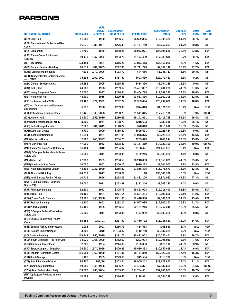|                                                        |                   | <b>YEAR</b>                      |                                          |                    |                                    |                        |              |                              |
|--------------------------------------------------------|-------------------|----------------------------------|------------------------------------------|--------------------|------------------------------------|------------------------|--------------|------------------------------|
| <b>BIG RAPIDS FACILITIES</b>                           | <b>GROSS AREA</b> | <b>BUILT/</b><br><b>IMPROVED</b> | <b>REPLACEMENT</b><br><b>COST PER SF</b> | <b>REPAIR COST</b> | <b>REPLACEMENT</b><br><b>VALUE</b> | <b>CURRENT</b><br>FCI% | 2010<br>FCI% | <b>ASMT</b><br><b>METHOD</b> |
| (CLK) Clark Hall                                       | 41,500            | 1960                             | \$296.59                                 | \$6,699,805        | \$12,308,485                       | 54.4%                  | 56.7%        | <b>NSI</b>                   |
| (CPD) Corporate and Professional Dev                   |                   |                                  |                                          |                    |                                    |                        |              |                              |
| Center                                                 | 16,836            | 1985/1987                        | \$276.33                                 | \$1,147,740        | \$4,652,293                        | 24.7%                  | 20.8%        | <b>NSI</b>                   |
| (CRA) Cramer Hall                                      | 91,700            | 1969                             | \$268.25                                 | \$8,973,971        | \$24,598,525                       | 36.5%                  | 23.8%        | <b>FCA</b>                   |
| (CSS) Timme Center for Student<br><b>Services</b>      | 59,179            | 1967/2002                        | \$293.75                                 | \$1,174,439        | \$17,383,830                       | 6.7%                   | 0.7%         | <b>FCA</b>                   |
| (FLT) Flite Library                                    | 173,484           | 2001                             | \$316.26                                 | \$3,843,413        | \$54,866,050                       | 7.0%                   | 1.6%         | <b>FCA</b>                   |
| (GEN) General Services Building                        | 28,571            | 1984/2005                        | \$247.35                                 | \$2,711,773        | \$7,067,146                        | 38.4%                  | 27.2%        | <b>FCA</b>                   |
| (GMB) Grounds Maintenance                              | 7,232             | 1979/2006                        | \$173.77                                 | \$44,686           | \$1,256,711                        | 3.6%                   | 20.4%        | <b>NSI</b>                   |
| (GRN) Granger Center for Construction<br>and HVACR     | 75,298            | 1962/2003                        | \$387.52                                 | \$601,530          | \$29,179,482                       | 2.1%                   | 0.2%         | NSI                          |
| (GSA) General Services Annex                           | 15,282            | 2005                             | \$215.56                                 | \$414,896          | \$3,294,188                        | 12.6%                  | 0.0%         | <b>NSI</b>                   |
| (HAL) Hallisy Hall                                     | 44,700            | 1958                             | \$299.87                                 | \$5,497,867        | \$13,404,270                       | 41.0%                  | 37.6%        | <b>NSI</b>                   |
| (HEC) Heavy Equipment Center                           | 52,000            | 1987                             | \$226.91                                 | \$3,454,789        | \$11,799,320                       | 29.3%                  | 28.6%        | <b>FCA</b>                   |
| (HEN) Henderson Hall                                   | 44,900            | 1965                             | \$229.45                                 | \$3,581,836        | \$10,302,305                       | 34.7%                  | 32.5%        | NSI                          |
| (ICE) Ice Arena - part of SPO                          | 69,460            | 1974/1999                        | \$292.22                                 | \$2,363,094        | \$20,297,602                       | 11.6%                  | 16.8%        | <b>FCA</b>                   |
| (ICT) Inst. for Construction Education<br>and Training | 6,950             | 1966                             | \$269.35                                 | \$344,016          | \$1,871,975                        | 18.4%                  | N/A          | <b>NEW</b>                   |
| (IRC) Instructional Resource Center                    | 61,425            | 1969/2008                        | \$280.23                                 | \$1,541,845        | \$17,213,136                       | 8.9%                   | 7.9%         | OFFICE                       |
| (JOH) Johnson Hall                                     | 33,600            | 1959/1980                        | \$280.23                                 | \$5,142,671        | \$9,415,728                        | 54.6%                  | 59.4%        | NSI                          |
| (KAM) Katke Maintenance Facility                       | 3,200             | 1974                             | \$168.73                                 | \$218,693          | \$539,936                          | 40.5%                  | 26.1%        | <b>NSI</b>                   |
| (KAS) Katke Storage Facility                           | 2,800             | 1984/2013                        | \$148.22                                 | \$78,016           | \$415,016                          | 18.8%                  | 33.5%        | <b>NSI</b>                   |
| (KAT) Katke Golf Course                                | 5,700             | 2000                             | \$355.52                                 | \$599,671          | \$2,026,464                        | 29.6%                  | 0.0%         | <b>NSI</b>                   |
| (KNO) Knollcrest Commons                               | 11,094            | 1961                             | \$291.01                                 | \$1,046,876        | \$3,228,464                        | 32.4%                  | 45.6%        | <b>FCA</b>                   |
| (MCK) McKessy House                                    | 2,800             | 1940/1997                        | \$264.73                                 | \$205,679          | \$741,244                          | 27.8%                  | 45.6%        | <b>NSI</b>                   |
| (MCN) McNerney Hall                                    | 47,000            | 1962                             | \$298.30                                 | \$3,157,319        | \$14,020,100                       | 22.5%                  | 50.9%        | <b>OFFICE</b>                |
| (MCO) Michigan College of Optometry                    | 86,104            | 2010                             | \$284.02                                 | \$106,621          | \$24,455,259                       | 0.4%                   | N/A          | <b>FCA</b>                   |
| (MGS) E Campus Suites - Maple Grove                    |                   |                                  |                                          |                    |                                    |                        |              |                              |
| Suites (24)                                            | 36,000            | 2011                             | \$263.98                                 | \$132,246          | \$9,503,280                        | 1.4%                   | $0.0\%$      | <b>NSI</b>                   |
| (MIL) Miller Hall                                      | 47,382            | 1963                             | \$296.59                                 | \$6,218,083        | \$14,053,028                       | 44.3%                  | 35.6%        | <b>NSI</b>                   |
| (MUS) Music Activities Center                          | 10,000            | 1962                             | \$350.15                                 | \$690,233          | \$3,501,500                        | 19.7%                  | 33.8%        | <b>FCA</b>                   |
| (NEC) National Elastomer Center                        | 43,392            | 1987/1999                        | \$255.27                                 | \$1,856,395        | \$11,076,673                       | 16.7%                  | 12.3%        | <b>NSI</b>                   |
| (NHB) North Hall Building                              | 124,019           | 2017                             | \$286.62                                 | \$0                | \$35,546,326                       | 0.0%                   | N/A          | <b>NEW</b>                   |
| (NST) North Storage Facility (Kirby)                   | 10,711            | 1956                             | \$268.05                                 | \$1,432,106        | \$2,871,082                        | 49.9%                  | 47.3%        | <b>NSI</b>                   |
| (OVS) E Campus Suites - Oak View<br>Suites (24)        | 36,000            | 2011                             | \$263.98                                 | \$132,246          | \$9,503,280                        | 1.4%                   | 0.0%         | <b>NSI</b>                   |
| (PHR) Pharmacy Building                                | 62,200            | 1972                             | \$305.73                                 | \$9,853,008        | \$19,016,406                       | 51.8%                  | 26.6%        | <b>FCA</b>                   |
| (PIC) Pickell Hall                                     | 50,400            | 1964                             | \$271.64                                 | \$4,534,464        | \$13,690,656                       | 33.1%                  | 31.2%        | <b>FCA</b>                   |
| (POW) Power Plant - Campus                             | 19.900            | 1955/1988                        | \$381.00                                 | \$2,418,300        | \$7,581,900                        | 31.9%                  | 13.4%        | <b>FCA</b>                   |
| (PRK) Prakken Building                                 | 42,100            | 1952                             | \$292.17                                 | \$4,547,035        | \$12,300,357                       | 36.9%                  | 41.7%        | <b>FCA</b>                   |
| (PUT) Puterbaugh Hall                                  | 46,400            | 1965                             | \$296.60                                 | \$2,191,216        | \$13,762,240                       | 15.9%                  | 35.5%        | <b>NSI</b>                   |
| (PVS) E Campus Suites - Pine Valley<br>Suites (24)     | 36,000            | 2011                             | \$263.98                                 | \$174,982          | \$9,503,280                        | 1.8%                   | $0.0\%$      | <b>NSI</b>                   |
| (RQT) Racquet Facility and Fitness<br>Center           | 50,884            | 1980/01                          | \$217.92                                 | \$1,460,772        | \$11,088,640                       | 13.2%                  | 14.6%        | FCA                          |
| (SBF) Softball Facility and Pressbox                   | 1,008             | 2001                             | \$266.73                                 | \$14,534           | \$268,863                          | 5.4%                   | N/A          | <b>NEW</b>                   |
| (SCC) Science Chiller Complex                          | 3,200             | 2010                             | \$1,103.82                               | \$112,750          | \$3,532,224                        | 3.2%                   | N/A          | <b>NEW</b>                   |
| (SCI) Science Building                                 | 109,148           | 1955/1999                        | \$281.75                                 | \$5,482,002        | \$30,752,451                       | 17.8%                  | 19.7%        | FCA                          |
| (SCO) South Commons - The Rock Cafe                    | 34,020            | 1965/2009                        | \$382.07                                 | \$293,004          | \$12,998,020                       | 2.3%                   | 7.6%         | <b>FCA</b>                   |
| (SPL) Southwest Power Plant                            | 2,200             | 1964                             | \$214.05                                 | \$195,396          | \$470,910                          | 41.5%                  | 8.9%         | NSI                          |
| (SPO) Sports Complex - Ewigleben                       | 76,600            | 1974/1999                        | \$400.23                                 | \$5,630,393        | \$30,657,618                       | 18.4%                  | 6.9%         | <b>FCA</b>                   |
| (SRC) Student Recreation Center                        | 116,051           | 1962/1999                        | \$431.96                                 | \$8,771,889        | \$50,129,389                       | 17.5%                  | 15.3%        | FCA                          |
| (SST) South Storage                                    | 1,400             | 1965                             | \$223.85                                 | \$19,584           | \$313,390                          | 6.3%                   | N/A          | NEW                          |
| (STR) Starr Educational Center                         | 86,400            | 1962/96                          | \$353.64                                 | \$8,905,242        | \$39,679,863                       | 22.4%                  | 21.1%        | <b>FCA</b>                   |
| (SWC) Southwest Commons                                | 19,500            | 1965/1986                        | \$386.29                                 | \$3,463,871        | \$7,532,655                        | 45.9%                  | 64.6%        | OFFICE                       |
| (SWN) Swan Technical Arts Bldg                         | 133,680           | 1966/2004                        | \$283.85                                 | \$11,704,501       | \$37,945,067                       | 30.8%                  | 40.7%        | NEW                          |
| (TTF) Top Taggart Field and Wheeler                    |                   |                                  |                                          |                    |                                    |                        |              |                              |
| Pavilion                                               | 10,593            | 2001                             | \$336.47                                 | \$118,911          | \$3,564,228                        | 3.3%                   | 8.6%         | <b>FCA</b>                   |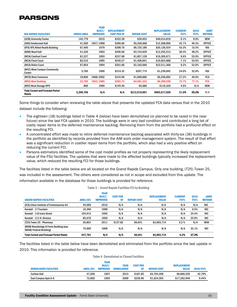| <b>BIG RAPIDS FACILITIES</b>                             | <b>GROSS AREA</b> | <b>YEAR</b><br><b>BUILT/</b><br><b>IMPROVED</b> | <b>REPLACEMENT</b><br><b>COST PER SF</b> | <b>REPAIR COST</b> | <b>REPLACEMENT</b><br><b>VALUE</b> | <b>CURRENT</b><br>FCI% | 2010<br>FCI% | <b>ASMT</b><br><b>METHOD</b> |
|----------------------------------------------------------|-------------------|-------------------------------------------------|------------------------------------------|--------------------|------------------------------------|------------------------|--------------|------------------------------|
| (UCB) University Center                                  | 142.779           | 2015                                            | \$322.28                                 | \$39.653           | \$46,014,819                       | 0.1%                   | $0.0\%$      | <b>NEW</b>                   |
| (VAN) Vandercook Hall                                    | 41,500            | 1957/1998                                       | \$296.60                                 | \$5,258,668        | \$12,308,900                       | 42.7%                  | 46.3%        | <b>OFFICE</b>                |
| (VFS) VFS Allied Health Building                         | 67,400            | 1979                                            | \$298.76                                 | \$8,720,180        | \$20,136,424                       | 43.3%                  | 15.5%        | <b>NSI</b>                   |
| (WAR) Ward Hall                                          | 41,320            | 1963                                            | \$296.60                                 | \$3,724,629        | \$12,255,513                       | 30.4%                  | 48.2%        | <b>OFFICE</b>                |
| (WCA) Cardinal Court                                     | 81,227            | 1993                                            | \$237.68                                 | \$1,857,128        | \$19,305,671                       | 9.6%                   | 53.9%        | <b>OFFICE</b>                |
| (WCA) Finch Court                                        | 82,510            | 1995                                            | \$240.27                                 | \$1,408,841        | \$19,824,668                       | 7.1%                   | 53.9%        | <b>OFFICE</b>                |
| (WCA) Robin Court                                        | 97,854            | 1994                                            | \$201.00                                 | \$2,165,066        | \$23,511,368                       | 9.2%                   | 53.9%        | <b>OFFICE</b>                |
| (WCC) West Campus Community<br>Center                    | 5,785             | 1996                                            | \$214.32                                 | \$297,774          | \$1,239,842                        | 24.0%                  | 32.8%        | <b>NSI</b>                   |
| (WCO) West Commons                                       | 19,800            | 1968/2002                                       | \$315.99                                 | \$1,698,886        | \$6,256,602                        | 27.2%                  | 49.9%        | <b>FCA</b>                   |
| (WES) West Building                                      | 23,700            | 1952/1985                                       | \$265.74                                 | \$4,581,322        | \$6,298,038                        | 72.7%                  | 77.1%        | <b>FCA</b>                   |
| (WST) West Storage DPS                                   | 800               | 1990                                            | \$145.40                                 | \$5,680            | \$116,320                          | 4.9%                   | N/A          | <b>NEW</b>                   |
| <b>Total Current and Forecast Period</b><br><b>Needs</b> | 3.296.765         | N/A                                             | N/A                                      | \$212,519,691      | \$983,517,558                      | 21.6%                  | 25.3%        | N/A                          |

Some things to consider when reviewing the table above that presents the updated FCA data versus that in the 2010 dataset include the following:

- The eighteen (18) buildings listed in Table 4 (below) have been demolished (or planned to be razed in the near future) since the last FCA update in 2010. The buildings were in very bad condition and contributed a long list of costly repair items to the deferred maintenance backlog. Removing them from the portfolio had a profound effect on the resulting FCI.
- A concentrated effort was made to retire deferred maintenance backlog associated with thirty-six (36) buildings in the portfolio as identified by records provided from the AiM work order management system. The result of that effort was a significant reduction in costlier repair items from the portfolio, which also had a very positive effect on reducing the current FCI.
- Parsons estimators identified some of the cost model profiles as not properly representing the likely replacement value of the FSU facilities. The updates that were made to the affected buildings typically increased the replacement value, which reduced the resulting FCI for those buildings.

The facilities listed in the table below are all located on the Grand Rapids Campus. Only one building, (T25) Tower 25, was included in the assessment. The others were considered as not in scope and excluded from this update. The information available in the database for those buildings is provided for reference.

| <b>GRAND RAPIDS FACILITIES</b>                                            | <b>AREA (SF)</b> | <b>YEAR</b><br><b>BUILT/</b><br><b>IMPROVED</b> | <b>COST PER</b><br>SF | <b>REPAIR COST</b> | <b>REPLACEMENT</b><br><b>VALUE</b> | <b>CURRENT</b><br>FCI% | 2010<br>FCI% | <b>ASMT</b><br><b>METHOD</b> |
|---------------------------------------------------------------------------|------------------|-------------------------------------------------|-----------------------|--------------------|------------------------------------|------------------------|--------------|------------------------------|
| (ICA) Urban Institute of Contemporary Art                                 | 45.000           | 2010                                            | N/A                   | N/A                | N/A                                | N/A                    | N/A          | NIC                          |
| Kendall - 17 Fountain                                                     | 10.396           | 1998                                            | N/A                   | N/A                | N/A                                | N/A                    | 0.5%         | <b>NIC</b>                   |
| Kendall - 110 Ionia Street                                                | 104.914          | 1950                                            | N/A                   | N/A                | N/A                                | N/A                    | 24.4%        | <b>NIC</b>                   |
| Kendall - 111 N. Division                                                 | 85.670           | 1950                                            | N/A                   | N/A                | N/A                                | N/A                    | 25.9%        | <b>NIC</b>                   |
| (T25) Tower 25 - Pharmacy                                                 | 26.801           | 2011                                            | \$137.82              | \$6,041            | \$3,693,714                        | 0.2%                   | N/A          | <b>NEW</b>                   |
| (WDB) Woodbridge N Ferris Building (was<br><b>GRAM/Federal Building</b> ) | 75.000           | 1908                                            | N/A                   | N/A                | N/A                                | N/A                    | 32.1%        | <b>NIC</b>                   |
| <b>Total Current and Forecast Period Needs</b>                            | 347.781          | N/A                                             | N/A                   | \$6,041            | \$3,693,714                        | 0.2%                   | 27.3%        |                              |

Table 3 – Grand Rapids Facilities FCI by Building

The facilities listed in the table below have been demolished and eliminated from the portfolio since the last update in 2010. This information is provided for reference.

#### Table 4- Demolished or Closed Facilities

| <b>DEMOLISHED FACILITIES</b> | <b>AREA (SF)</b> | <b>YEAR</b><br><b>BUILT/</b><br><b>IMPROVED</b> | YEAR<br><b>DEMOLISHED</b> | <b>COST PER</b> | <b>REPAIR COST</b> | <b>REPLACEMENT</b><br><b>VALUE</b> | <b>2010 FCI%</b> |
|------------------------------|------------------|-------------------------------------------------|---------------------------|-----------------|--------------------|------------------------------------|------------------|
| <b>Carlisle Hall</b>         | 47.200           | 1957                                            | 2013                      | \$187.85        | \$3.794.358        | \$8.866.520                        | 42.79%           |
| East Campus Apts A-G         | 72,600           | 1955                                            | 2009                      | \$236.96        | \$1.624.303        | \$17.202.948                       | 9.44%            |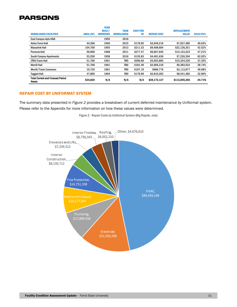| <b>Merrill Hall</b><br><b>Merrill/Travis Commons</b> | 51.700<br>10,720 | 1961<br>1961                                    | TBD<br>TBD                       | \$181.49<br>\$197.19         | \$2,696,319<br>\$986.776 | \$9,383,033<br>\$2,113,877         | 28.74%<br>46.68% |
|------------------------------------------------------|------------------|-------------------------------------------------|----------------------------------|------------------------------|--------------------------|------------------------------------|------------------|
| (TRV) Travis Hall                                    | 51.700           | 1961                                            | TBD                              | \$296.60                     | \$3,053,893              | \$15,334,220                       | 37.35%           |
| <b>South Campus Apartments</b>                       | 53.200           | 1958                                            | 2016                             | \$135.83                     | \$4,481,636              | \$7,226,264                        | 62.02%           |
| <b>Pennock Hall</b>                                  | 50.900           | 1968                                            | 2011                             | \$277.47                     | \$6,667,645              | \$14,123,223                       | 47.21%           |
| <b>Masselink Hall</b>                                | 104.700          | 1955                                            | 2013                             | \$211.33                     | \$9,408,604              | \$22,126,251                       | 42.52%           |
| East Campus Apts H&K<br><b>Helen Ferris Hall</b>     | 44.300           | 1955<br>1956                                    | 2016<br>2015                     | \$178.95                     | \$3,649,210              | \$7,927,485                        | 46.03%           |
| <b>DEMOLISHED FACILITIES</b>                         | <b>AREA (SF)</b> | <b>YEAR</b><br><b>BUILT/</b><br><b>IMPROVED</b> | <b>YEAR</b><br><b>DEMOLISHED</b> | <b>COST PER</b><br><b>SF</b> | <b>REPAIR COST</b>       | <b>REPLACEMENT</b><br><b>VALUE</b> | <b>2010 FCI%</b> |

#### REPAIR COST BY UNIFORMAT SYSTEM

The summary data presented in *Figure 2* provides a breakdown of current deferred maintenance by Uniformat system. Please refer to the Appendix for more information on how these values were determined.

Figure 2 - Repair Costs by Uniformat System (Big Rapids, only)

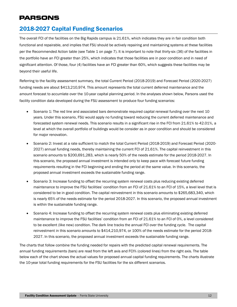### <span id="page-12-0"></span>2018-2027 Capital Funding Scenarios

The overall FCI of the facilities on the Big Rapids campus is 21.61%, which indicates they are in fair condition both functional and repairable, and implies that FSU should be actively repairing and maintaining systems at these facilities per the Recommended Action table (see Table 1 on page 7). It is important to note that thirty-six (36) of the facilities in the portfolio have an FCI greater than 25%, which indicates that those facilities are in poor condition and in need of significant attention. Of those, four (4) facilities have an FCI greater than 60%, which suggests these facilities may be beyond their useful life.

Referring to the facility assessment summary, the total Current Period (2018-2019) and Forecast Period (2020-2027) funding needs are about \$413,210,974. This amount represents the total current deferred maintenance and the amount forecast to accumlate over the 10-year capital planning period. In the analyses shown below, Parsons used the facility condition data developed during the FSU assessment to produce four funding scenarios:

- Scenario 1: The red line and associated bars demonstrate required capital renewal funding over the next 10 years. Under this scenario, FSU would apply no funding toward reducing the current deferred maintenance and forecasted system renewal needs. This scenario results in a significant rise in the FCI from 21.61% to 42.01%, a level at which the overall portfolio of buildings would be consider as in poor condition and should be considered for major renovation.
- Scenario 2: Invest at a rate sufficient to match the total Current Period (2018-2019) and Forecast Period (2020- 2027) annual funding needs, thereby maintaining the current FCI of 21.61%. The capital reinvestment in this scenario amounts to \$200,691,283, which is nearly 50% of the needs estimate for the period 2018-2027. In this scenario, the proposed annual investment is intended only to keep pace with forecast future funding requirements resulting in the FCI beginning and ending the period at the same value. In this scenario, the proposed annual investment exceeds the sustainable funding range.
- Scenario 3: Increase funding to offset the recurring system renewal costs plus reducing existing deferred maintenance to improve the FSU facilities' condition from an FCI of 21.61% to an FCI of 15%, a level level that is considered to be in good condition. The capital reinvestment in this scenario amounts to \$265,683,340, which is nearly 65% of the needs estimate for the period 2018-2027. In this scenario, the proposed annual investment is within the sustainable funding range.
- Scenario 4: Increase funding to offset the recurring system renewal costs plus eliminating existing deferred maintenance to improve the FSU facilities' condition from an FCI of 21.61% to an FCI of 0%, a level considered to be excellent (like new) condition. The dark line tracks the annual FCI over the funding cycle. The capital reinvestment in this scenario amounts to \$414,210,974, or 100% of the needs estimate for the period 2018- 2027. In this scenario, the proposed annual investment exceeds the sustainable funding range.

The charts that follow combine the funding needed for repairs with the predicted capital renewal requirements. The annual funding requirements (bars) are read from the left axis and FCI% (colored lines) from the right axis. The table below each of the chart shows the actual values for proposed annual capital funding requirements. The charts illustrate the 10-year total funding requirements for the FSU facilities for the six different scenarios.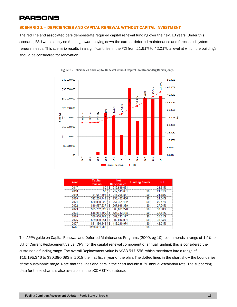### <span id="page-13-0"></span>SCENARIO 1 – DEFICIENCIES AND CAPITAL RENEWAL WITHOUT CAPITAL INVESTMENT

The red line and associated bars demonstrate required capital renewal funding over the next 10 years. Under this scenario, FSU would apply no funding toward paying down the current deferred maintenance and forecasted system renewal needs. This scenario results in a significant rise in the FCI from 21.61% to 42.01%, a level at which the buildings should be considered for renovation.





| Year  | Capital       |                     | <b>Funding Needs</b> |        |
|-------|---------------|---------------------|----------------------|--------|
|       | Renewal       | <b>Deficiencies</b> |                      |        |
| 2017  |               | 212,519,691         |                      | 21.61% |
| 2018  |               | 212,519,691         |                      | 21.61% |
| 2019  | .687.196      | 214,206,887         |                      | 78%    |
|       | 2.255.749     | 236,462,636<br>S    |                      |        |
| 2021  | \$20,888,526  | 257,351,162<br>S    |                      | 26 17% |
| 2022  | .561          | 267,918,399         |                      | 24%    |
| 2023  | \$35,762,829  | 303,681,228         |                      | 30.88% |
|       | 031           | 321,712,418         |                      | 32 71% |
|       | 0.500.759     | 352,213,177         |                      | 35.81% |
| 2026  | \$29,800,854  | 382,014,031         |                      | 38.84% |
|       | \$31,196,943  | 413.210.974         |                      |        |
| Total | \$200,691,283 |                     |                      |        |

The APPA guide on Capital Renewal and Deferred Maintenance Programs (2009; pg 10) recommends a range of 1.5% to 3% of Current Replacement Value (CRV) for the capital renewal component of annual funding; this is considered the sustainable funding range. The overall Replacement value is \$983,517,558, which translates into a range of \$15,195,346 to \$30,390,693 in 2018 the first fiscal year of the plan. The dotted lines in the chart show the boundaries of the sustainable range. Note that the lines and bars in the chart include a 3% annual escalation rate. The supporting data for these charts is also available in the *e*COMET™ database.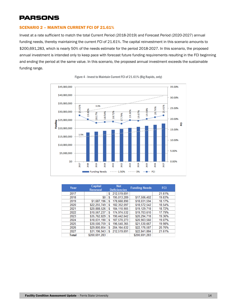#### <span id="page-14-0"></span>SCENARIO 2 – MAINTAIN CURRENT FCI OF 21.61%

Invest at a rate sufficient to match the total Current Period (2018-2019) and Forecast Period (2020-2027) annual funding needs, thereby maintaining the current FCI of 21.61%. The capital reinvestment in this scenario amounts to \$200,691,283, which is nearly 50% of the needs estimate for the period 2018-2027. In this scenario, the proposed annual investment is intended only to keep pace with forecast future funding requirements resulting in the FCI beginning and ending the period at the same value. In this scenario, the proposed annual investment exceeds the sustainable funding range.



Figure 4 - Invest to Maintain Current FCI of 21.61% (Big Rapids, only)

| Year  | Capital       | <b>Net</b>          | <b>Funding Needs</b> | FCI    |
|-------|---------------|---------------------|----------------------|--------|
|       | Renewal       | <b>Deficiencies</b> |                      |        |
| 2017  |               | 212,519,691         |                      | 21.61% |
| 2018  |               | 195,013,289         | \$17,506,402         | 19.83% |
| 2019  | \$1,687,196   | 178,668,890         | \$18,031,594         | 18.17% |
| 2020  | \$22,255,749  | 182,352,097         | \$18,572,542         | 18.54% |
| 2021  | \$20.888.526  | 184.110.905         | \$19,129,718         | 18.72% |
| 2022  | \$10,567,237  | 174,974,532         | \$19,703,610         | 17.79% |
| 2023  | \$35,762,829  | 190,442,642         | \$20,294,718         | 19.36% |
| 2024  | \$18.031.190  | 187,570,273         | \$20,903,560         | 19.07% |
| 2025  | \$30,500,759  | 196,540,365         | \$21,530,667         | 19 98% |
| 2026  | \$29,800,854  | 204.164.632         | \$22,176,587         | 20.76% |
| 2027  | \$31,196,943  | 212,519,691         | \$22,841,884         | 21.61% |
| Total | \$200.691.283 |                     | \$200.691.283        |        |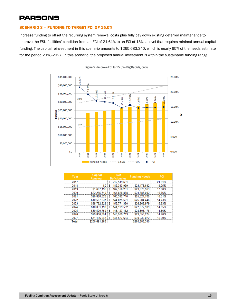### <span id="page-15-0"></span>SCENARIO 3 – FUNDING TO TARGET FCI OF 15.0%

Increase funding to offset the recurring system renewal costs plus fully pay down existing deferred maintenance to improve the FSU facilities' condition from an FCI of 21.61% to an FCI of 15%, a level that requires minimal annual capital funding. The capital reinvestment in this scenario amounts to \$265,683,340, which is nearly 65% of the needs estimate for the period 2018-2027. In this scenario, the proposed annual investment is within the sustainable funding range.



Figure 5 - Improve FCI to 15.0% (Big Rapids, only)

| Year  | Capital<br>Net |     | <b>Funding Needs</b> |               |        |
|-------|----------------|-----|----------------------|---------------|--------|
|       | Renewal        |     | <b>Deficiencies</b>  |               |        |
| 2017  |                | S   | 212,519,691          |               | 21 61% |
| 2018  |                |     | 189,343,999          | \$23,175,692  | 19.25% |
| 2019  | \$1,687,196    |     | 167.160.231          | \$23,870,963  | 17 በበ% |
| 2020  | \$22,255,749   |     | 164,828,888          | \$24,587,092  | 16 76% |
|       | \$20,888,526   |     | 160,392,710          | \$25,324,705  | 16.31% |
| つのつつ  | \$10,567,237   | s   | 144,875,501          | \$26,084,446  | 14 73% |
| 2023  | \$35,762,829   |     | 153,771,350          | \$26,866,979  | 15.63% |
|       | \$18,031,190   |     | 144, 129, 552        | \$27,672,989  | 14.65% |
| 2025  | \$30,500,759   |     | 146, 127, 132        | \$28,503,178  | 14 86% |
| 2026  | \$29,800,854   |     | 146,569,713          | \$29,358,274  |        |
|       | \$31,196,943   | - 5 | 147.527.634          | \$30,239,022  |        |
| Total | \$200,691,283  |     |                      | \$265,683,340 |        |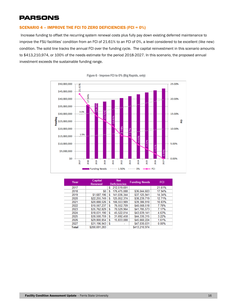### <span id="page-16-0"></span>SCENARIO 4 – IMPROVE THE FCI TO ZERO DEFICIENCIES (FCI = 0%)

Increase funding to offset the recurring system renewal costs plus fully pay down existing deferred maintenance to improve the FSU facilities' condition from an FCI of 21.61% to an FCI of 0%, a level considered to be excellent (like new) condition. The solid line tracks the annual FCI over the funding cycle. The capital reinvestment in this scenario amounts to \$413,210,974, or 100% of the needs estimate for the period 2018-2027. In this scenario, the proposed annual investment exceeds the sustainable funding range.



Figure 6 - Improve FCI to 0% (Big Rapids, only)

| Year  | Capital<br>Renewal | <b>Net</b><br><b>Deficiencies</b> |             | <b>Funding Needs</b> | FCI    |
|-------|--------------------|-----------------------------------|-------------|----------------------|--------|
| 2017  |                    |                                   | 212,519,691 |                      | 21.61% |
| 2018  |                    |                                   | 176,475,088 | \$36,044,603         | 17.94% |
|       | \$1,687,196        |                                   | 141,036,344 | \$37,125,941         | 4 34%  |
| 2020  | \$22.255.749       |                                   | 125,052,374 | \$38,239,719         | 12 71% |
| 2021  | \$20,888,526       |                                   | 106,553,989 | \$39,386,910         | 10.83% |
| 2022  | \$10,567,237       |                                   | 76,552,709  | \$40,568,518         | 7 78%  |
| 2023  | \$35.762.829       |                                   | 70.529.964  | \$41,785,573         | 17%    |
| 2024  | \$18,031,190       | S                                 | 45.522.014  | \$43,039,141         |        |
| 2025  | \$30,500,759       |                                   | 31,692,458  | \$44,330,315         | 3 22%  |
| 2026  | \$29,800,854       |                                   | 15.833.088  | \$45,660,224         |        |
|       | \$31,196,943       |                                   |             | \$47.030.031         |        |
| Total | \$200,691,283      |                                   |             | \$413,210,974        |        |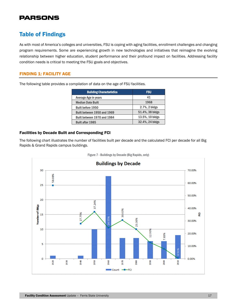### <span id="page-17-0"></span>Table of Findings

As with most of America's colleges and universities, FSU is coping with aging facilities, enrollment challenges and changing program requirements. Some are experiencing growth in new technologies and initiatives that reimagine the evolving relationship between higher education, student performance and their profound impact on facilities. Addressing facility condition needs is critical to meeting the FSU goals and objectives.

### <span id="page-17-1"></span>FINDING 1: FACILITY AGE

The following table provides a compilation of data on the age of FSU facilities.

| <b>Building Characteristics</b> | <b>FSU</b>      |
|---------------------------------|-----------------|
| Average Age in years            | 41              |
| <b>Median Date Built</b>        | 1968            |
| <b>Built before 1950</b>        | 2.7%, 2 bldgs   |
| Built between 1950 and 1969     | 51.4%, 38 bldgs |
| Built between 1970 and 1984     | 13.5%, 10 bldgs |
| <b>Built after 1985</b>         | 32.4%, 24 bldgs |

### Facilities by Decade Built and Corresponding FCI

The following chart illustrates the number of facilities built per decade and the calculated FCI per decade for all Big Rapids & Grand Rapids campus buildings.



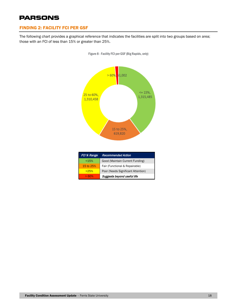### <span id="page-18-0"></span>FINDING 2: FACILITY FCI PER GSF

The following chart provides a graphical reference that indicates the facilities are split into two groups based on area; those with an FCI of less than 15% or greater than 25%.





| FCI % Range | <b>Recommended Action</b>          |
|-------------|------------------------------------|
| < 15%       | Good (Maintain Current Funding)    |
| 15 to 25%   | Fair (Functional & Repairable)     |
| >25%        | Poor (Needs Significant Attention) |
| >60%        | Suggests beyond useful life        |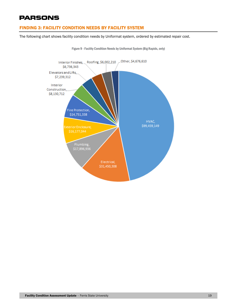### <span id="page-19-0"></span>FINDING 3: FACILITY CONDITION NEEDS BY FACILITY SYSTEM

The following chart shows facility condition needs by Uniformat system, ordered by estimated repair cost.



Figure 9 - Facility Condition Needs by Uniformat System (Big Rapids, only)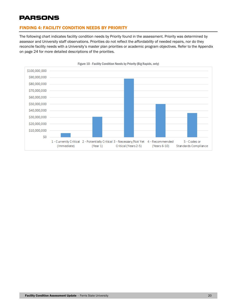### <span id="page-20-0"></span>FINDING 4: FACILITY CONDITION NEEDS BY PRIORITY

The following chart indicates facility condition needs by Priority found in the assessment. Priority was determined by assessor and University staff observations. Priorities do not reflect the *affordability* of needed repairs, nor do they reconcile facility needs with a University's master plan priorities or academic program objectives. Refer to the Appendix on page 24 for more detailed descriptions of the priorities.



Figure 10 - Facility Condition Needs by Priority (Big Rapids, only)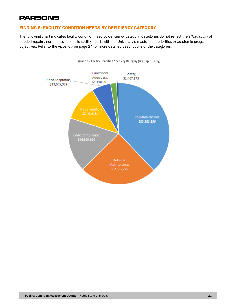### <span id="page-21-0"></span>FINDING 5: FACILITY CONDITION NEEDS BY DEFICIENCY CATEGORY

The following chart indicates facility condition need by deficiency category. Categories do not reflect the *affordability* of needed repairs, nor do they reconcile facility needs with the University's master plan priorities or academic program objectives. Refer to the Appendix on page 24 for more detailed descriptions of the categories.



Figure 11 - Facility Condition Needs by Category (Big Rapids, only)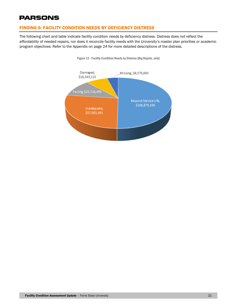### <span id="page-22-0"></span>FINDING 6: FACILITY CONDITION NEEDS BY DEFICIENCY DISTRESS

The following chart and table indicate facility condition needs by deficiency distress. Distress does not reflect the *affordability* of needed repairs, nor does it reconcile facility needs with the University's master plan priorities or academic program objectives. Refer to the Appendix on page 24 for more detailed descriptions of the distress.



Figure 12 - Facility Condition Needs by Distress(Big Rapids, only)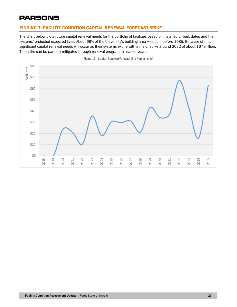### <span id="page-23-0"></span>FINDING 7: FACILITY CONDITION CAPITAL RENEWAL FORECAST SPIKE

The chart below plots future capital renewal needs for the portfolio of facilities based on installed or built dates and their systems' projected expected lives. About 66% of the University's building area was built before 1985. Because of this, significant capital renewal needs will occur as their systems expire with a major spike around 2032 of about \$67 million. The spike can be partially mitigated through renewal programs in earlier years.



Figure 13 - Capital Renewal Forecast (Big Rapids, only)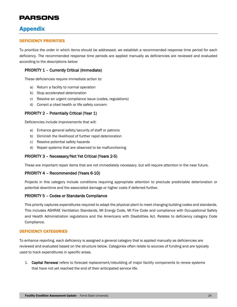### <span id="page-24-0"></span>Appendix

#### <span id="page-24-1"></span>DEFICIENCY PRIORITIES

To prioritize the order in which items should be addressed, we establish a recommended response time period for each deficiency. The recommended response time periods are applied manually as deficiencies are reviewed and evaluated according to the descriptions below:

#### PRIORITY 1 – Currently Critical (Immediate)

These deficiencies require immediate action to:

- a) Return a facility to normal operation
- b) Stop accelerated deterioration
- c) Resolve an urgent compliance issue (codes, regulations)
- d) Correct a cited health or life safety concern

### PRIORITY 2 – Potentially Critical (Year 1)

Deficiencies include improvements that will:

- a) Enhance general safety/security of staff or patrons
- b) Diminish the likelihood of further rapid deterioration
- c) Resolve potential safety hazards
- d) Repair systems that are observed to be malfunctioning

#### PRIORITY 3 – Necessary/Not Yet Critical (Years 2-5)

These are important repair items that are not immediately necessary, but will require attention in the near future.

#### PRIORITY 4 – Recommended (Years 6-10)

Projects in this category include conditions requiring appropriate attention to preclude predictable deterioration or potential downtime and the associated damage or higher costs if deferred further.

#### PRIORITY 5 – Codes or Standards Compliance

This priority captures expenditures required to adapt the physical plant to meet changing building codes and standards. This includes ASHRAE Ventilation Standards, MI Energy Code, MI Fire Code and compliance with Occupational Safety and Health Administration regulations and the Americans with Disabilities Act. Relates to deficiency category Code Compliance.

#### <span id="page-24-2"></span>DEFICIENCY CATEGORIES

To enhance reporting, each deficiency is assigned a general category that is applied manually as deficiencies are reviewed and evaluated based on the structure below. Categories often relate to sources of funding and are typically used to track expenditures in specific areas.

1. Capital Renewal refers to forecast replacement/rebuilding of major facility components to renew systems that have not yet reached the end of their anticipated service life.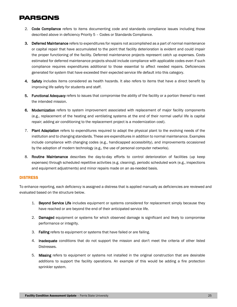- 2. Code Compliance refers to items documenting code and standards compliance issues including those described above in deficiency Priority 5 – Codes or Standards Compliance.
- 3. Deferred Maintenance refers to expenditures for repairs not accomplished as a part of normal maintenance or capital repair that have accumulated to the point that facility deterioration is evident and could impair the proper functioning of the facility. Deferred maintenance projects represent catch up expenses. Costs estimated for deferred maintenance projects should include compliance with applicable codes even if such compliance requires expenditures additional to those essential to affect needed repairs. Deficiencies generated for system that have exceeded their expected service life default into this category.
- 4. Safety includes items considered as health hazards. It also refers to items that have a direct benefit by improving life safety for students and staff.
- 5. Functional Adequacy refers to issues that compromise the ability of the facility or a portion thereof to meet the intended mission.
- 6. Modernization refers to system improvement associated with replacement of major facility components (e.g., replacement of the heating and ventilating systems at the end of their normal useful life is capital repair; adding air conditioning to the replacement project is a modernization cost).
- 7. Plant Adaptation refers to expenditures required to adapt the physical plant to the evolving needs of the institution and to changing standards. These are expenditures in addition to normal maintenance. Examples include compliance with changing codes (e.g., handicapped accessibility), and improvements occasioned by the adoption of modern technology (e.g., the use of personal computer networks).
- 8. Routine Maintenance describes the day-to-day efforts to control deterioration of facilities (up keep expenses) through scheduled repetitive activities (e.g. cleaning), periodic scheduled work (e.g., inspections and equipment adjustments) and minor repairs made on an as-needed basis.

### <span id="page-25-0"></span>**DISTRESS**

To enhance reporting, each deficiency is assigned a distress that is applied manually as deficiencies are reviewed and evaluated based on the structure below.

- 1. Beyond Service Life includes equipment or systems considered for replacement simply because they have reached or are beyond the end of their anticipated service life.
- 2. Damaged equipment or systems for which observed damage is significant and likely to compromise performance or integrity.
- 3. Failing refers to equipment or systems that have failed or are failing.
- 4. Inadequate conditions that do not support the mission and don't meet the criteria of other listed Distresses.
- 5. Missing refers to equipment or systems not installed in the original construction that are desirable additions to support the facility operations. An example of this would be adding a fire protection sprinkler system.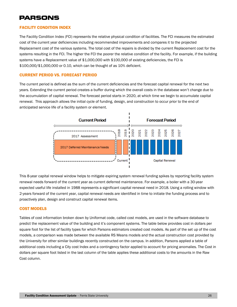### <span id="page-26-0"></span>FACILITY CONDITION INDEX

The Facility Condition Index (FCI) represents the relative physical condition of facilities. The FCI measures the estimated cost of the current year deficiencies including recommended improvements and compares it to the projected Replacement cost of the various systems. The total cost of the repairs is divided by the current Replacement cost for the systems resulting in the FCI. The higher the FCI the poorer the relative condition of the facility. For example, if the building systems have a Replacement value of \$1,000,000 with \$100,000 of existing deficiencies, the FCI is \$100,000/\$1,000,000 or 0.10, which can be thought of as 10% deficient.

### <span id="page-26-1"></span>CURRENT PERIOD VS. FORECAST PERIOD

The current period is defined as the sum of the current deficiencies and the forecast capital renewal for the next two years. Extending the current period creates a buffer during which the overall costs in the database won't change due to the accumulation of capital renewal. The forecast period starts in 2020, at which time we begin to accumulate capital renewal. This approach allows the initial cycle of funding, design, and construction to occur prior to the end of anticipated service life of a facility system or element.



This 8-year capital renewal window helps to mitigate expiring system renewal funding spikes by reporting facility system renewal needs forward of the current year as current deferred maintenance. For example, a boiler with a 30-year expected useful life installed in 1988 represents a significant capital renewal need in 2018. Using a rolling window with 2-years forward of the current year, capital renewal needs are identified in time to initiate the funding process and to proactively plan, design and construct capital renewal items.

### <span id="page-26-2"></span>COST MODELS

Tables of cost information broken down by Uniformat code, called cost models, are used in the software database to predict the replacement value of the building and it's component systems. The table below provides cost in dollars per square foot for the list of facility types for which Parsons estimators created cost models. As part of the set up of the cost models, a comparison was made between the available RS Means models and the actual construction cost provided by the University for other similar buildings recently constructed on the campus. In addition, Parsons applied a table of additional costs including a City cost Index and a contingency factor applied to account for pricing anomalies. The Cost in dollars per square foot listed in the last column of the table applies these additional costs to the amounts in the Raw Cost column.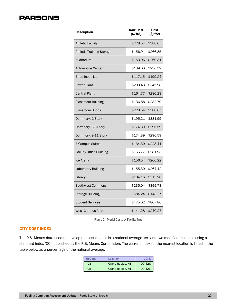| <b>Description</b>               | <b>Raw Cost</b><br>(\$/ft2) | Cost<br>(S/ft2) |
|----------------------------------|-----------------------------|-----------------|
| <b>Athletic Facility</b>         | \$228.54                    | \$388.67        |
| <b>Athletic Training Storage</b> | \$156.91                    | \$266.85        |
| Auditorium                       | \$153.06                    | \$260.31        |
| <b>Automotive Center</b>         | \$139.00                    | \$236.39        |
| <b>Bituminous Lab</b>            | \$117.15                    | \$199.24        |
| <b>Power Plant</b>               | \$203.43                    | \$345.98        |
| <b>Central Plant</b>             | \$164.77                    | \$280.23        |
| <b>Classroom Building</b>        | \$136.88                    | \$232.79        |
| <b>Classroom Shops</b>           | \$228.54                    | \$388.67        |
| Dormitory, 1-Story               | \$195.21                    | \$331.99        |
| Dormitory, 3-8 Story             | \$174.39                    | \$296.59        |
| Dormitory, 9-11 Story            | \$174.39                    | \$296.59        |
| E Campus Suites                  | \$134.30                    | \$228.41        |
| <b>Faculty Office Building</b>   | \$165.77                    | \$281.93        |
| Ice Arena                        | \$156.54                    | \$266.22        |
| <b>Laboratory Building</b>       | \$155.30                    | \$264.12        |
| Library                          | \$184.16                    | \$313.20        |
| Southwest Commons                | \$235.04                    | \$399.73        |
| <b>Storage Building</b>          | \$84.24                     | \$143.27        |
| <b>Student Services</b>          | \$475.02                    | \$807.86        |
| <b>West Campus Apts</b>          | \$141.28                    | \$240.27        |

Figure 2 - Model Costs by Facility Type

### <span id="page-27-0"></span>CITY COST INDEX

The R.S. Means data used to develop the cost models is a national average. As such, we modified the costs using a standard index (CCI) published by the R.S. Means Corporation. The current index for the nearest location is listed in the table below as a percentage of the national average.

| <b>ZipCode</b> | Location                | CCI %  |
|----------------|-------------------------|--------|
| 493            | <b>Grand Rapids, MI</b> | 90.42% |
| 495            | <b>Grand Rapids, MI</b> | 90.42% |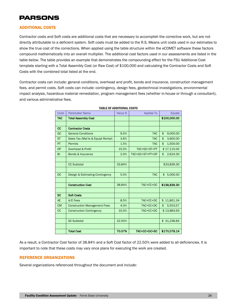### <span id="page-28-0"></span>ADDITIONAL COSTS

Contractor costs and Soft costs are additional costs that are necessary to accomplish the corrective work, but are not directly attributable to a deficient system. Soft costs must be added to the R.S. Means unit costs used in our estimates to show the true cost of the corrections. When applied using the table structure within the eCOMET software these factors compound mathematically into an overall multiplier. The additional cost factors used in our assessments are listed in the table below. The table provides an example that demonstrates the compounding effect for the FSU Additional Cost template starting with a Total Assembly Cost (or Raw Cost) of \$100,000 and calculating the Contractor Costs and Soft Costs with the combined total listed at the end.

Contractor costs can include: general conditions, overhead and profit, bonds and insurance, construction management fees, and permit costs. Soft costs can include: contingency, design fees, geotechnical investigations, environmental impact analysis, hazardous material remediation, program management fees (whether in-house or through a consultant), and various administrative fees.

| Code        | <b>Parameter Name</b>               | Value % | <b>Applies To</b> | <b>Equals</b>  |
|-------------|-------------------------------------|---------|-------------------|----------------|
| <b>TAC</b>  | <b>Total Assembly Cost</b>          |         |                   | \$100,000.00   |
|             |                                     |         |                   |                |
| $_{\rm cc}$ | <b>Contractor Costs</b>             |         |                   |                |
| GC          | <b>General Conditions</b>           | 9.0%    | <b>TAC</b>        | \$<br>9,000.00 |
| <b>ST</b>   | Sales Tax (Mat'ls & Equipt Rental)  | 3.6%    | <b>TAC</b>        | \$<br>3,600.00 |
| PT          | <b>Permits</b>                      | 1.5%    | <b>TAC</b>        | \$<br>1,500.00 |
| <b>OP</b>   | Overhead & Profit                   | 15.0%   | TAC+GC+ST+PT      | \$17,115.00    |
| <b>BI</b>   | Bonds & Insurance                   | 2.0%    | TAC+GC+ST+PT+OP   | 2,624.30<br>\$ |
|             |                                     |         |                   |                |
|             | <b>CC Subtotal</b>                  | 33.84%  |                   | \$33,839.30    |
|             |                                     |         |                   |                |
| <b>DC</b>   | Design & Estimating Contingency     | 5.0%    | <b>TAC</b>        | 5,000.00<br>\$ |
|             |                                     |         |                   |                |
|             | <b>Construction Cost</b>            | 38.84%  | TAC+CC+DC         | \$138,839.30   |
|             |                                     |         |                   |                |
| <b>SC</b>   | <b>Soft Costs</b>                   |         |                   |                |
| <b>AE</b>   | A/E Fees                            | 8.5%    | TAC+CC+DC         | \$11,801.34    |
| <b>CM</b>   | <b>Construction Management Fees</b> | 4.0%    | TAC+CC+DC         | 5,553.57<br>\$ |
| <b>CC</b>   | <b>Construction Contingency</b>     | 10.0%   | TAC+CC+DC         | \$13,883.93    |
|             |                                     |         |                   |                |
|             | <b>SC Subtotal</b>                  | 22.50%  |                   | \$31,238.84    |
|             |                                     |         |                   |                |
|             | <b>Total Cost</b>                   | 70.07%  | TAC+CC+DC+SC      | \$170,078.14   |

#### TABLE OF ADDITIONAL COSTS

As a result, a Contractor Cost factor of 38.84% and a Soft Cost factor of 22.50% were added to all deficiencies. It is important to note that these costs may vary once plans for executing the work are created.

### <span id="page-28-1"></span>REFERENCE ORGANIZATIONS

Several organizations referenced throughout the document and include: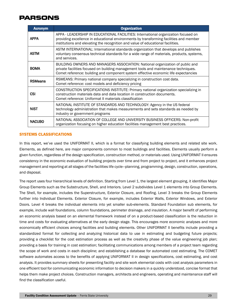| <b>Acronym</b> | <b>Organization</b>                                                                                                                                                                                                                                             |
|----------------|-----------------------------------------------------------------------------------------------------------------------------------------------------------------------------------------------------------------------------------------------------------------|
| <b>APPA</b>    | APPA - LEADERSHIP IN EDUCATIONAL FACILITIES: International organization focused on<br>providing excellence in educational environments by transforming facilities and member<br>institutions and elevating the recognition and value of educational facilities. |
| <b>ASTM</b>    | ASTM INTERNATIONAL: International standards organization that develops and publishes<br>voluntary consensus technical standards for a wide range of materials, products, systems,<br>and services.                                                              |
| <b>BOMA</b>    | BUILDING OWNERS AND MANAGERS ASSOCIATION: National organization of public and<br>private facilities focused on building management tools and maintenance techniques.<br>Comet reference: building and component system effective economic life expectancies     |
| <b>RSMeans</b> | RSMEANS: Primary national company specializing in construction cost data.<br>Comet reference: cost models and deficiency pricing                                                                                                                                |
| CSI            | CONSTRUCTION SPECIFICATIONS INSTITUTE: Primary national organization specializing in<br>construction materials data and data location in construction documents.<br>Comet reference: Uniformat II materials classification                                      |
| <b>NIST</b>    | NATIONAL INSTITUTE OF STANDARDS AND TECHNOLOGY: Agency in the US federal<br>technology administration that makes measurements and sets standards as needed by<br>industry or government programs                                                                |
| <b>NACUBO</b>  | NATIONAL ASSOCIATION OF COLLEGE AND UNIVERSITY BUSINESS OFFICERS: Non-profit<br>organization focusing on higher education facilities management best practices.                                                                                                 |

### <span id="page-29-0"></span>SYSTEMS CLASSIFICATIONS

In this report, we've used the UNIFORMAT II, which is a format for classifying building elements and related site work. Elements, as defined here, are major components common to most buildings and facilities. Elements usually perform a given function, regardless of the design specification, construction method, or materials used. Using UNIFORMAT II ensures consistency in the economic evaluation of building projects over time and from project to project, and it enhances project management and reporting at all stages of the facilities life cycle—planning, programming, design, construction, operations, and disposal.

The report uses four hierarchical levels of definition. Starting from Level 1, the largest element grouping, it identifies Major Group Elements such as the Substructure, Shell, and Interiors. Level 2 subdivides Level 1 elements into Group Elements. The Shell, for example, includes the Superstructure, Exterior Closure, and Roofing. Level 3 breaks the Group Elements further into Individual Elements. Exterior Closure, for example, includes Exterior Walls, Exterior Windows, and Exterior Doors. Level 4 breaks the individual elements into yet smaller sub-elements. Standard Foundation sub elements, for example, include wall foundations, column foundations, perimeter drainage, and insulation. A major benefit of performing an economic analysis based on an elemental framework instead of on a product-based classification is the reduction in time and costs for evaluating alternatives at the early design stage. This encourages more economic analyses and more economically efficient choices among facilities and building elements. Other UNIFORMAT II benefits include providing a standardized format for collecting and analyzing historical data to use in estimating and budgeting future projects; providing a checklist for the cost estimation process as well as the creativity phase of the value engineering job plan; providing a basis for training in cost estimation; facilitating communications among members of a project team regarding the scope of work and costs in each discipline; and establishing a database for automated cost estimating. The COMET software automates access to the benefits of applying UNIFORMAT II in design specifications, cost estimating, and cost analysis. It provides summary sheets for presenting facility and site work elemental costs with cost analysis parameters in one efficient tool for communicating economic information to decision makers in a quickly understood, concise format that helps them make project choices. Construction managers, architects and engineers, operating and maintenance staff will find the classification useful.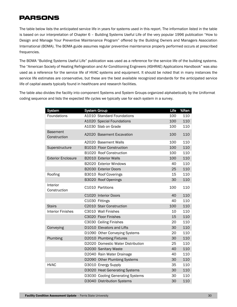The table below lists the anticipated service life in years for systems used in this report. The information listed in the table is based on our interpretation of Chapter 6 – Building Systems Useful Life of the very popular 1996 publication "How to Design and Manage Your Preventive Maintenance Program" offered by the Building Owners and Managers Association International (BOMA). The BOMA guide assumes regular preventive maintenance properly performed occurs at prescribed frequencies.

The BOMA "Building Systems Useful Life" publication was used as a reference for the service life of the building systems. The "American Society of Heating Refrigeration and Air Conditioning Engineers (ASHRAE) Applications Handbook" was also used as a reference for the service life of HVAC systems and equipment. It should be noted that in many instances the service life estimates are conservative, but these are the best available recognized standards for the anticipated service life of capital assets typically found in healthcare and research facilities.

The table also divides the facility into component Systems and System Groups organized alphabetically by the Uniformat coding sequence and lists the expected life cycles we typically use for each system in a survey.

| <b>System</b>                   | <b>System Group</b> |                                   | Life | %Ren |
|---------------------------------|---------------------|-----------------------------------|------|------|
| Foundations                     |                     | A1010 Standard Foundations        | 100  | 110  |
|                                 |                     | A1020 Special Foundations         | 100  | 110  |
|                                 |                     | A1030 Slab on Grade               | 100  | 110  |
| <b>Basement</b><br>Construction |                     | A2020 Basement Excavation         | 100  | 110  |
|                                 |                     | A2020 Basement Walls              | 100  | 110  |
| Superstructure                  |                     | B1010 Floor Construction          | 100  | 110  |
|                                 |                     | B1020 Roof Construction           | 100  | 110  |
| <b>Exterior Enclosure</b>       |                     | <b>B2010 Exterior Walls</b>       | 100  | 110  |
|                                 |                     | <b>B2020</b> Exterior Windows     | 40   | 110  |
|                                 |                     | <b>B2030 Exterior Doors</b>       | 25   | 110  |
| Roofing                         |                     | B3010 Roof Coverings              | 15   | 110  |
|                                 |                     | B3020 Roof Openings               | 30   | 110  |
| Interior<br>Construction        |                     | C1010 Partitions                  | 100  | 110  |
|                                 |                     | C1020 Interior Doors              | 40   | 110  |
|                                 |                     | C1030 Fittings                    | 40   | 110  |
| <b>Stairs</b>                   |                     | C2010 Stair Construction          | 100  | 110  |
| <b>Interior Finishes</b>        |                     | C3010 Wall Finishes               | 10   | 110  |
|                                 |                     | C3020 Floor Finishes              | 15   | 110  |
|                                 |                     | C3030 Ceiling Finishes            | 20   | 110  |
| Conveying                       |                     | D1010 Elevators and Lifts         | 30   | 110  |
|                                 |                     | D1090 Other Conveying Systems     | 20   | 110  |
| Plumbing                        |                     | D2010 Plumbing Fixtures           | 30   | 110  |
|                                 |                     | D2020 Domestic Water Distribution | 25   | 110  |
|                                 |                     | D2030 Sanitary Waste              | 40   | 110  |
|                                 |                     | D2040 Rain Water Drainage         | 40   | 110  |
|                                 |                     | D2090 Other Plumbing Systems      | 30   | 110  |
| <b>HVAC</b>                     |                     | D3010 Energy Supply               | 35   | 110  |
|                                 |                     | D3020 Heat Generating Systems     | 30   | 110  |
|                                 |                     | D3030 Cooling Generating Systems  | 30   | 110  |
|                                 |                     | D3040 Distribution Systems        | 30   | 110  |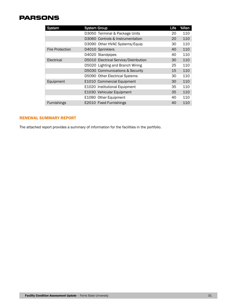| <b>System</b>          | <b>System Group</b> |                                       | Life | %Ren |
|------------------------|---------------------|---------------------------------------|------|------|
|                        |                     | D3050 Terminal & Package Units        | 20   | 110  |
|                        |                     | D3060 Controls & Instrumentation      | 20   | 110  |
|                        |                     | D3090 Other HVAC Systems/Equip        | 30   | 110  |
| <b>Fire Protection</b> |                     | D4010 Sprinklers                      | 40   | 110  |
|                        |                     | D4020 Standpipes                      | 40   | 110  |
| Electrical             |                     | D5010 Electrical Service/Distribution | 30   | 110  |
|                        |                     | D5020 Lighting and Branch Wiring      | 25   | 110  |
|                        |                     | D5030 Communications & Security       | 15   | 110  |
|                        |                     | D5090 Other Electrical Systems        | 30   | 110  |
| Equipment              |                     | E1010 Commercial Equipment            | 30   | 110  |
|                        |                     | E1020 Institutional Equipment         | 35   | 110  |
|                        |                     | E1030 Vehicular Equipment             | 35   | 110  |
|                        |                     | E1090 Other Equipment                 | 40   | 110  |
| <b>Furnishings</b>     |                     | E2010 Fixed Furnishings               | 40   | 110  |

### <span id="page-31-0"></span>RENEWAL SUMMARY REPORT

The attached report provides a summary of information for the facilities in the portfolio.